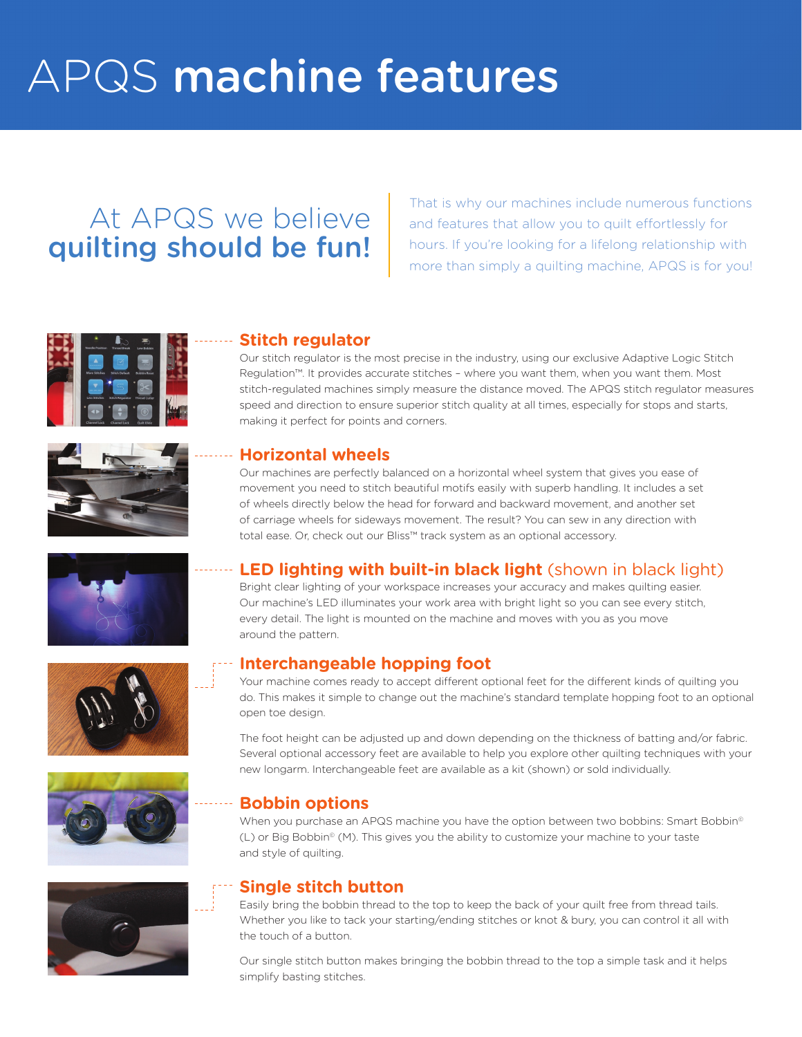# APQS machine features

# At APQS we believe quilting should be fun!

That is why our machines include numerous functions and features that allow you to quilt effortlessly for hours. If you're looking for a lifelong relationship with more than simply a quilting machine, APQS is for you!





### **Stitch regulator**

Our stitch regulator is the most precise in the industry, using our exclusive Adaptive Logic Stitch Regulation™. It provides accurate stitches – where you want them, when you want them. Most stitch-regulated machines simply measure the distance moved. The APQS stitch regulator measures speed and direction to ensure superior stitch quality at all times, especially for stops and starts, making it perfect for points and corners.

#### **Horizontal wheels**

Our machines are perfectly balanced on a horizontal wheel system that gives you ease of movement you need to stitch beautiful motifs easily with superb handling. It includes a set of wheels directly below the head for forward and backward movement, and another set of carriage wheels for sideways movement. The result? You can sew in any direction with total ease. Or, check out our Bliss™ track system as an optional accessory.



# **LED lighting with built-in black light** (shown in black light)

Bright clear lighting of your workspace increases your accuracy and makes quilting easier. Our machine's LED illuminates your work area with bright light so you can see every stitch, every detail. The light is mounted on the machine and moves with you as you move around the pattern.

## **Interchangeable hopping foot**

Your machine comes ready to accept different optional feet for the different kinds of quilting you do. This makes it simple to change out the machine's standard template hopping foot to an optional open toe design.

The foot height can be adjusted up and down depending on the thickness of batting and/or fabric. Several optional accessory feet are available to help you explore other quilting techniques with your new longarm. Interchangeable feet are available as a kit (shown) or sold individually.

#### **Bobbin options**

When you purchase an APQS machine you have the option between two bobbins: Smart Bobbin<sup>®</sup> (L) or Big Bobbin© (M). This gives you the ability to customize your machine to your taste and style of quilting.

#### **Single stitch button**

Easily bring the bobbin thread to the top to keep the back of your quilt free from thread tails. Whether you like to tack your starting/ending stitches or knot & bury, you can control it all with the touch of a button.

Our single stitch button makes bringing the bobbin thread to the top a simple task and it helps simplify basting stitches.